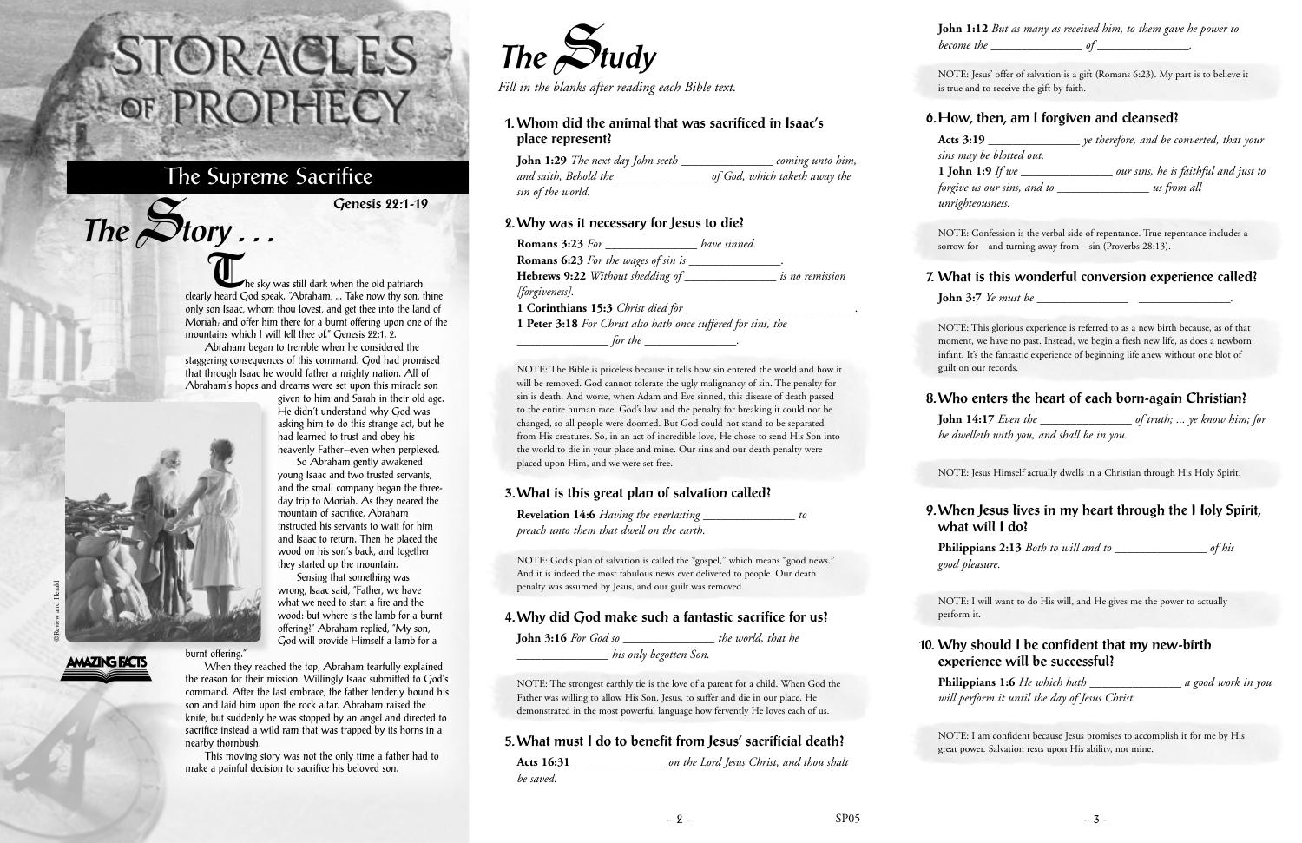The sky was still dark when the old patriarch clearly heard God speak. "Abraham, ... Take now thy son, thine only son Isaac, whom thou lovest, and get thee into the land of Moriah; and offer him there for a burnt offering upon one of the mountains which I will tell thee of." Genesis 22:1, 2.

Abraham began to tremble when he considered the staggering consequences of this command. God had promised that through Isaac he would father a mighty nation. All of Abraham's hopes and dreams were set upon this miracle son

given to him and Sarah in their old age. He didn't understand why God was asking him to do this strange act, but he had learned to trust and obey his heavenly Father—even when perplexed.

So Abraham gently awakened young Isaac and two trusted servants, and the small company began the threeday trip to Moriah. As they neared the mountain of sacrifice, Abraham instructed his servants to wait for him and Isaac to return. Then he placed the wood on his son's back, and together they started up the mountain.

Sensing that something was wrong, Isaac said, "Father, we have what we need to start a fire and the wood: but where is the lamb for a burnt offering?" Abraham replied, "My son, God will provide Himself a lamb for a

When they reached the top, Abraham tearfully explained the reason for their mission. Willingly Isaac submitted to God's command. After the last embrace, the father tenderly bound his son and laid him upon the rock altar. Abraham raised the knife, but suddenly he was stopped by an angel and directed to sacrifice instead a wild ram that was trapped by its horns in a nearby thornbush.

This moving story was not the only time a father had to make a painful decision to sacrifice his beloved son.

## STORACLES OF PROPHECY

### The Supreme Sacrifice

**Genesis 22:1-19**

**The** S**tudy**

*Fill in the blanks after reading each Bible text.*

#### **1. Whom did the animal that was sacrificed in Isaac's place represent?**

**John 1:29** *The next day John seeth \_\_\_\_\_\_\_\_\_\_\_\_\_\_\_ coming unto him, and saith, Behold the \_\_\_\_\_\_\_\_\_\_\_\_\_\_\_ of God, which taketh away the sin of the world.*

#### **2. Why was it necessary for Jesus to die?**

| <b>Romans 3:23</b> For ___________                                          | have sinned. |
|-----------------------------------------------------------------------------|--------------|
| <b>Romans 6:23</b> For the wages of sin is $\overline{\phantom{a}}$         |              |
| <b>Hebrews 9:22</b> Without shedding of ___________________ is no remission |              |
| [forgiveness].                                                              |              |
|                                                                             |              |
| <b>1 Peter 3:18</b> For Christ also hath once suffered for sins, the        |              |
| for the                                                                     |              |

NOTE: The Bible is priceless because it tells how sin entered the world and how it will be removed. God cannot tolerate the ugly malignancy of sin. The penalty for sin is death. And worse, when Adam and Eve sinned, this disease of death passed to the entire human race. God's law and the penalty for breaking it could not be changed, so all people were doomed. But God could not stand to be separated from His creatures. So, in an act of incredible love, He chose to send His Son into the world to die in your place and mine. Our sins and our death penalty were placed upon Him, and we were set free.

#### **3. What is this great plan of salvation called?**

| <b>Revelation 14:6</b> Having the everlasting | to |
|-----------------------------------------------|----|
| preach unto them that dwell on the earth.     |    |

NOTE: God's plan of salvation is called the "gospel," which means "good news." And it is indeed the most fabulous news ever delivered to people. Our death penalty was assumed by Jesus, and our guilt was removed.

#### **4. Why did God make such a fantastic sacrifice for us?**

**John 3:16** *For God so \_\_\_\_\_\_\_\_\_\_\_\_\_\_\_ the world, that he \_\_\_\_\_\_\_\_\_\_\_\_\_\_\_ his only begotten Son.*

NOTE: The strongest earthly tie is the love of a parent for a child. When God the Father was willing to allow His Son, Jesus, to suffer and die in our place, He demonstrated in the most powerful language how fervently He loves each of us.

#### **5. What must I do to benefit from Jesus' sacrificial death?**

| Acts 16:31 | on the Lord Jesus Christ, and thou shalt |  |
|------------|------------------------------------------|--|
| be saved.  |                                          |  |

**John 1:12** *But as many as received him, to them gave he power to become the \_\_\_\_\_\_\_\_\_\_\_\_\_\_\_ of \_\_\_\_\_\_\_\_\_\_\_\_\_\_\_.*

NOTE: Jesus' offer of salvation is a gift (Romans 6:23). My part is to believe it is true and to receive the gift by faith.

#### **6. How, then, am I forgiven and cleansed?**

**Acts 3:19** *\_\_\_\_\_\_\_\_\_\_\_\_\_\_\_ ye therefore, and be converted, that your sins may be blotted out.* **1 John 1:9** *If we \_\_\_\_\_\_\_\_\_\_\_\_\_\_\_ our sins, he is faithful and just to forgive us our sins, and to \_\_\_\_\_\_\_\_\_\_\_\_\_\_\_ us from all unrighteousness.*

NOTE: Confession is the verbal side of repentance. True repentance includes a sorrow for—and turning away from—sin (Proverbs 28:13).

#### **7. What is this wonderful conversion experience called?**

**John 3:7** *Ye must be \_\_\_\_\_\_\_\_\_\_\_\_\_\_\_ \_\_\_\_\_\_\_\_\_\_\_\_\_\_\_.*

NOTE: This glorious experience is referred to as a new birth because, as of that moment, we have no past. Instead, we begin a fresh new life, as does a newborn infant. It's the fantastic experience of beginning life anew without one blot of guilt on our records.

#### **8. Who enters the heart of each born-again Christian?**

**John 14:17** *Even the \_\_\_\_\_\_\_\_\_\_\_\_\_\_\_ of truth; ... ye know him; for he dwelleth with you, and shall be in you.*

NOTE: Jesus Himself actually dwells in a Christian through His Holy Spirit.

#### **9. When Jesus lives in my heart through the Holy Spirit, what will I do?**

**Philippians 2:13** *Both to will and to \_\_\_\_\_\_\_\_\_\_\_\_\_\_\_ of his good pleasure.*

NOTE: I will want to do His will, and He gives me the power to actually perform it.

#### **10. Why should I be confident that my new-birth experience will be successful?**

**Philippians 1:6** *He which hath \_\_\_\_\_\_\_\_\_\_\_\_\_\_\_ a good work in you will perform it until the day of Jesus Christ.*

NOTE: I am confident because Jesus promises to accomplish it for me by His great power. Salvation rests upon His ability, not mine.



 $The$  $S$ **tory** ...

# ©Review and Herald

**AMAZING FACTS** 

burnt offering."